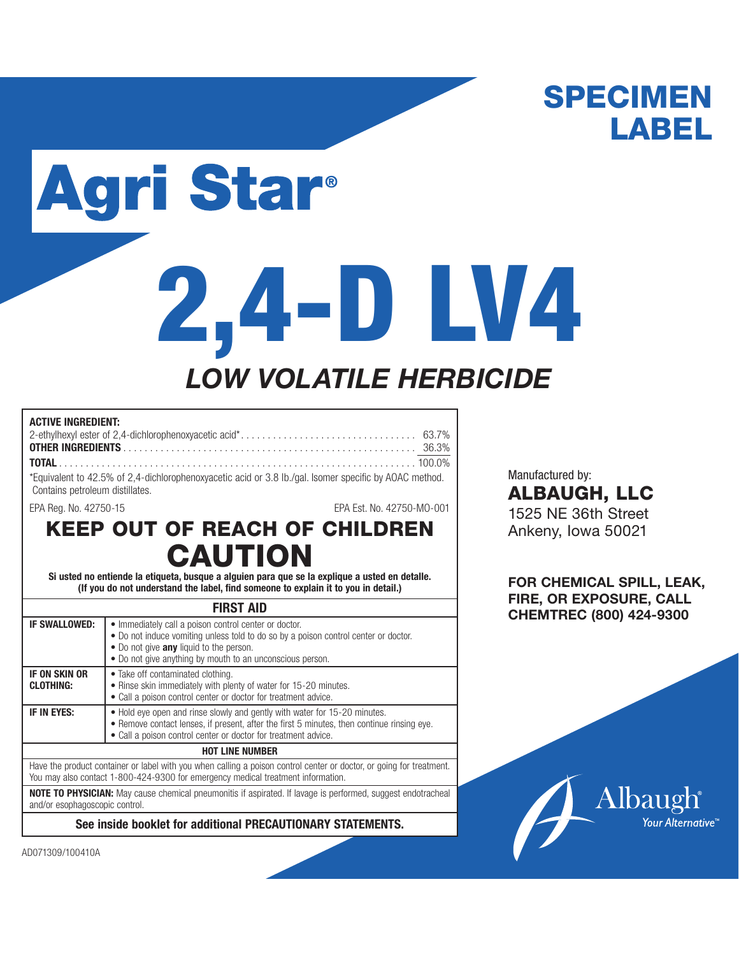# SPECIMEN LABEL

# **Agri Star®**

# **2,4-D LV4** *LOW VOLATILE HERBICIDE*

| <b>ACTIVE INGREDIENT:</b>                                                                                                                 |  |
|-------------------------------------------------------------------------------------------------------------------------------------------|--|
|                                                                                                                                           |  |
|                                                                                                                                           |  |
|                                                                                                                                           |  |
| *Equivalent to 42.5% of 2,4-dichlorophenoxyacetic acid or 3.8 lb./gal. Isomer specific by AOAC method.<br>Contains petroleum distillates. |  |

EPA Reg. No. 42750-15 EPA Est. No. 42750-MO-001

## KEEP OUT OF REACH OF CHILDREN CAUTION

**Si usted no entiende la etiqueta, busque a alguien para que se la explique a usted en detalle. (If you do not understand the label, find someone to explain it to you in detail.)**

### **FIRST AID**

| <b>IF SWALLOWED:</b>                                                                                                                                                                                     | • Immediately call a poison control center or doctor.<br>• Do not induce vomiting unless told to do so by a poison control center or doctor.<br>• Do not give any liquid to the person.<br>• Do not give anything by mouth to an unconscious person. |  |  |  |
|----------------------------------------------------------------------------------------------------------------------------------------------------------------------------------------------------------|------------------------------------------------------------------------------------------------------------------------------------------------------------------------------------------------------------------------------------------------------|--|--|--|
| <b>IF ON SKIN OR</b><br><b>CLOTHING:</b>                                                                                                                                                                 | • Take off contaminated clothing.<br>• Rinse skin immediately with plenty of water for 15-20 minutes.<br>• Call a poison control center or doctor for treatment advice.                                                                              |  |  |  |
| IF IN EYES:                                                                                                                                                                                              | • Hold eye open and rinse slowly and gently with water for 15-20 minutes.<br>• Remove contact lenses, if present, after the first 5 minutes, then continue rinsing eye.<br>• Call a poison control center or doctor for treatment advice.            |  |  |  |
|                                                                                                                                                                                                          | <b>HOT LINE NUMBER</b>                                                                                                                                                                                                                               |  |  |  |
| Have the product container or label with you when calling a poison control center or doctor, or going for treatment.<br>You may also contact 1-800-424-9300 for emergency medical treatment information. |                                                                                                                                                                                                                                                      |  |  |  |
|                                                                                                                                                                                                          |                                                                                                                                                                                                                                                      |  |  |  |

**NOTE TO PHYSICIAN:** May cause chemical pneumonitis if aspirated. If lavage is performed, suggest endotracheal and/or esophagoscopic control.

**See inside booklet for additional PRECAUTIONARY STATEMENTS.**

Manufactured by: ALBAUGH, LLC 1525 NE 36th Street Ankeny, Iowa 50021

**FOR CHEMICAL SPILL, LEAK, FIRE, OR EXPOSURE, CALL CHEMTREC (800) 424-9300**



AD071309/100410A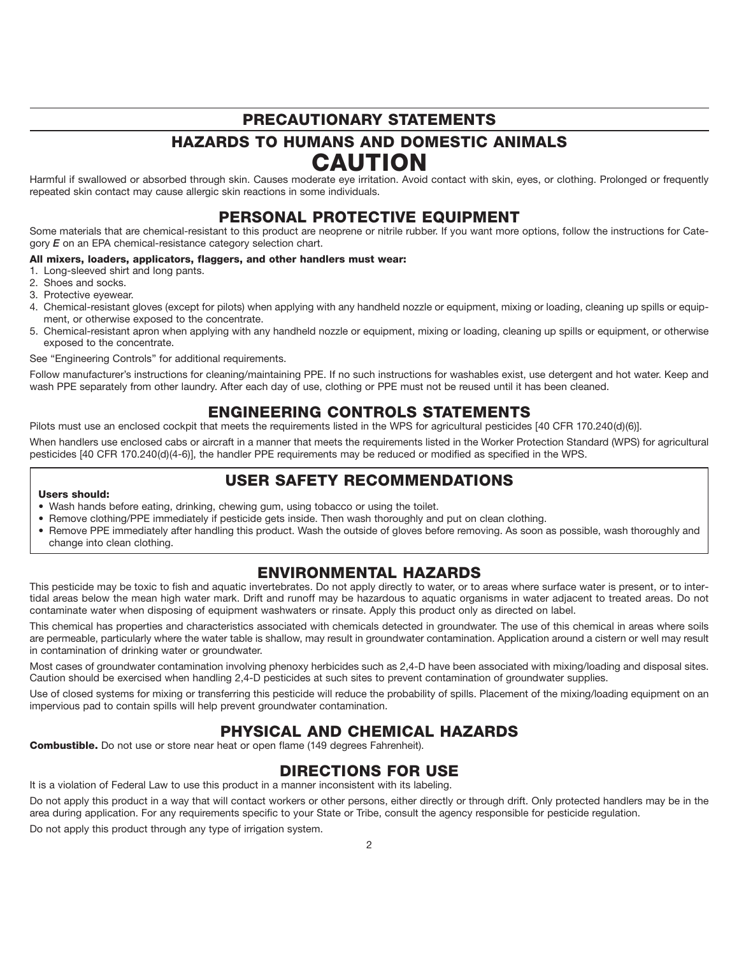## PRECAUTIONARY STATEMENTS

## HAZARDS TO HUMANS AND DOMESTIC ANIMALS **CAUTION**

Harmful if swallowed or absorbed through skin. Causes moderate eye irritation. Avoid contact with skin, eyes, or clothing. Prolonged or frequently repeated skin contact may cause allergic skin reactions in some individuals.

## PERSONAL PROTECTIVE EQUIPMENT

Some materials that are chemical-resistant to this product are neoprene or nitrile rubber. If you want more options, follow the instructions for Category *E* on an EPA chemical-resistance category selection chart.

#### All mixers, loaders, applicators, flaggers, and other handlers must wear:

- 1. Long-sleeved shirt and long pants.
- 2. Shoes and socks.
- 3. Protective eyewear.
- 4. Chemical-resistant gloves (except for pilots) when applying with any handheld nozzle or equipment, mixing or loading, cleaning up spills or equipment, or otherwise exposed to the concentrate.
- 5. Chemical-resistant apron when applying with any handheld nozzle or equipment, mixing or loading, cleaning up spills or equipment, or otherwise exposed to the concentrate.

See "Engineering Controls" for additional requirements.

Follow manufacturer's instructions for cleaning/maintaining PPE. If no such instructions for washables exist, use detergent and hot water. Keep and wash PPE separately from other laundry. After each day of use, clothing or PPE must not be reused until it has been cleaned.

## ENGINEERING CONTROLS STATEMENTS

Pilots must use an enclosed cockpit that meets the requirements listed in the WPS for agricultural pesticides [40 CFR 170.240(d)(6)].

When handlers use enclosed cabs or aircraft in a manner that meets the requirements listed in the Worker Protection Standard (WPS) for agricultural pesticides [40 CFR 170.240(d)(4-6)], the handler PPE requirements may be reduced or modified as specified in the WPS.

## USER SAFETY RECOMMENDATIONS

#### Users should:

- Wash hands before eating, drinking, chewing gum, using tobacco or using the toilet.
- Remove clothing/PPE immediately if pesticide gets inside. Then wash thoroughly and put on clean clothing.
- Remove PPE immediately after handling this product. Wash the outside of gloves before removing. As soon as possible, wash thoroughly and change into clean clothing.

## ENVIRONMENTAL HAZARDS

This pesticide may be toxic to fish and aquatic invertebrates. Do not apply directly to water, or to areas where surface water is present, or to intertidal areas below the mean high water mark. Drift and runoff may be hazardous to aquatic organisms in water adjacent to treated areas. Do not contaminate water when disposing of equipment washwaters or rinsate. Apply this product only as directed on label.

This chemical has properties and characteristics associated with chemicals detected in groundwater. The use of this chemical in areas where soils are permeable, particularly where the water table is shallow, may result in groundwater contamination. Application around a cistern or well may result in contamination of drinking water or groundwater.

Most cases of groundwater contamination involving phenoxy herbicides such as 2,4-D have been associated with mixing/loading and disposal sites. Caution should be exercised when handling 2,4-D pesticides at such sites to prevent contamination of groundwater supplies.

Use of closed systems for mixing or transferring this pesticide will reduce the probability of spills. Placement of the mixing/loading equipment on an impervious pad to contain spills will help prevent groundwater contamination.

## PHYSICAL AND CHEMICAL HAZARDS

Combustible. Do not use or store near heat or open flame (149 degrees Fahrenheit).

## DIRECTIONS FOR USE

It is a violation of Federal Law to use this product in a manner inconsistent with its labeling.

Do not apply this product in a way that will contact workers or other persons, either directly or through drift. Only protected handlers may be in the area during application. For any requirements specific to your State or Tribe, consult the agency responsible for pesticide regulation.

Do not apply this product through any type of irrigation system.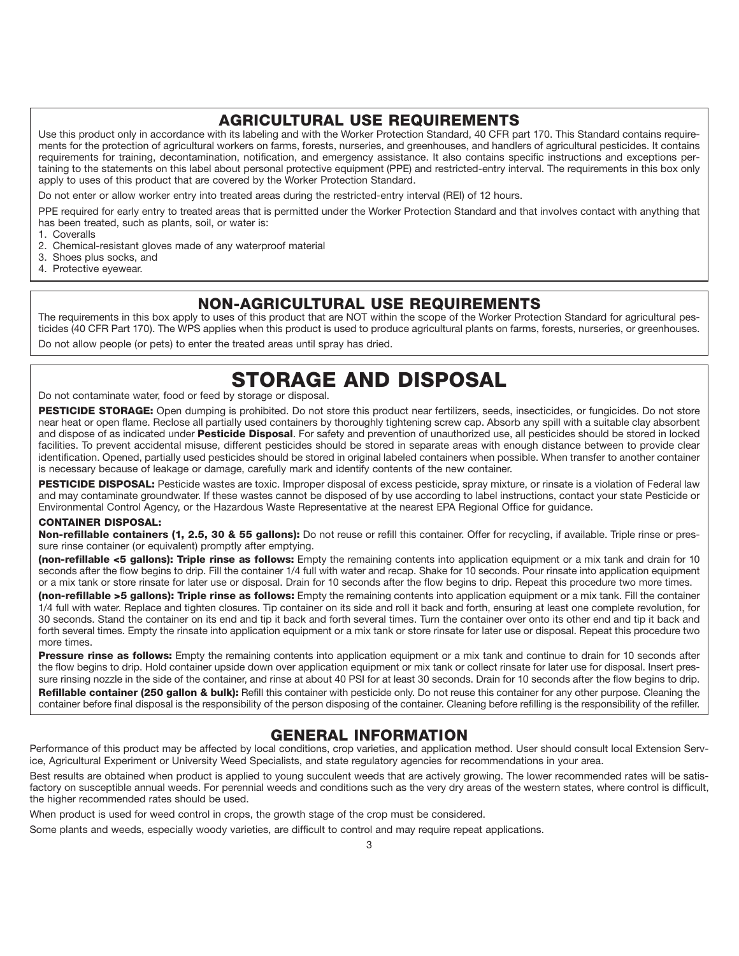## AGRICULTURAL USE REQUIREMENTS

Use this product only in accordance with its labeling and with the Worker Protection Standard, 40 CFR part 170. This Standard contains requirements for the protection of agricultural workers on farms, forests, nurseries, and greenhouses, and handlers of agricultural pesticides. It contains requirements for training, decontamination, notification, and emergency assistance. It also contains specific instructions and exceptions pertaining to the statements on this label about personal protective equipment (PPE) and restricted-entry interval. The requirements in this box only apply to uses of this product that are covered by the Worker Protection Standard.

Do not enter or allow worker entry into treated areas during the restricted-entry interval (REI) of 12 hours.

PPE required for early entry to treated areas that is permitted under the Worker Protection Standard and that involves contact with anything that has been treated, such as plants, soil, or water is:

- 1. Coveralls
- 2. Chemical-resistant gloves made of any waterproof material
- 3. Shoes plus socks, and
- 4. Protective eyewear.

## NON-AGRICULTURAL USE REQUIREMENTS

The requirements in this box apply to uses of this product that are NOT within the scope of the Worker Protection Standard for agricultural pesticides (40 CFR Part 170). The WPS applies when this product is used to produce agricultural plants on farms, forests, nurseries, or greenhouses. Do not allow people (or pets) to enter the treated areas until spray has dried.

## STORAGE AND DISPOSAL

### Do not contaminate water, food or feed by storage or disposal.

PESTICIDE STORAGE: Open dumping is prohibited. Do not store this product near fertilizers, seeds, insecticides, or fungicides. Do not store near heat or open flame. Reclose all partially used containers by thoroughly tightening screw cap. Absorb any spill with a suitable clay absorbent and dispose of as indicated under Pesticide Disposal. For safety and prevention of unauthorized use, all pesticides should be stored in locked facilities. To prevent accidental misuse, different pesticides should be stored in separate areas with enough distance between to provide clear identification. Opened, partially used pesticides should be stored in original labeled containers when possible. When transfer to another container is necessary because of leakage or damage, carefully mark and identify contents of the new container.

PESTICIDE DISPOSAL: Pesticide wastes are toxic. Improper disposal of excess pesticide, spray mixture, or rinsate is a violation of Federal law and may contaminate groundwater. If these wastes cannot be disposed of by use according to label instructions, contact your state Pesticide or Environmental Control Agency, or the Hazardous Waste Representative at the nearest EPA Regional Office for guidance.

#### CONTAINER DISPOSAL:

Non-refillable containers (1, 2.5, 30 & 55 gallons): Do not reuse or refill this container. Offer for recycling, if available. Triple rinse or pressure rinse container (or equivalent) promptly after emptying.

(non-refillable <5 gallons): Triple rinse as follows: Empty the remaining contents into application equipment or a mix tank and drain for 10 seconds after the flow begins to drip. Fill the container 1/4 full with water and recap. Shake for 10 seconds. Pour rinsate into application equipment or a mix tank or store rinsate for later use or disposal. Drain for 10 seconds after the flow begins to drip. Repeat this procedure two more times.

(non-refillable >5 gallons): Triple rinse as follows: Empty the remaining contents into application equipment or a mix tank. Fill the container 1/4 full with water. Replace and tighten closures. Tip container on its side and roll it back and forth, ensuring at least one complete revolution, for 30 seconds. Stand the container on its end and tip it back and forth several times. Turn the container over onto its other end and tip it back and forth several times. Empty the rinsate into application equipment or a mix tank or store rinsate for later use or disposal. Repeat this procedure two more times.

Pressure rinse as follows: Empty the remaining contents into application equipment or a mix tank and continue to drain for 10 seconds after the flow begins to drip. Hold container upside down over application equipment or mix tank or collect rinsate for later use for disposal. Insert pressure rinsing nozzle in the side of the container, and rinse at about 40 PSI for at least 30 seconds. Drain for 10 seconds after the flow begins to drip. Refillable container (250 gallon & bulk): Refill this container with pesticide only. Do not reuse this container for any other purpose. Cleaning the container before final disposal is the responsibility of the person disposing of the container. Cleaning before refilling is the responsibility of the refiller.

## GENERAL INFORMATION

Performance of this product may be affected by local conditions, crop varieties, and application method. User should consult local Extension Service, Agricultural Experiment or University Weed Specialists, and state regulatory agencies for recommendations in your area.

Best results are obtained when product is applied to young succulent weeds that are actively growing. The lower recommended rates will be satisfactory on susceptible annual weeds. For perennial weeds and conditions such as the very dry areas of the western states, where control is difficult, the higher recommended rates should be used.

When product is used for weed control in crops, the growth stage of the crop must be considered.

Some plants and weeds, especially woody varieties, are difficult to control and may require repeat applications.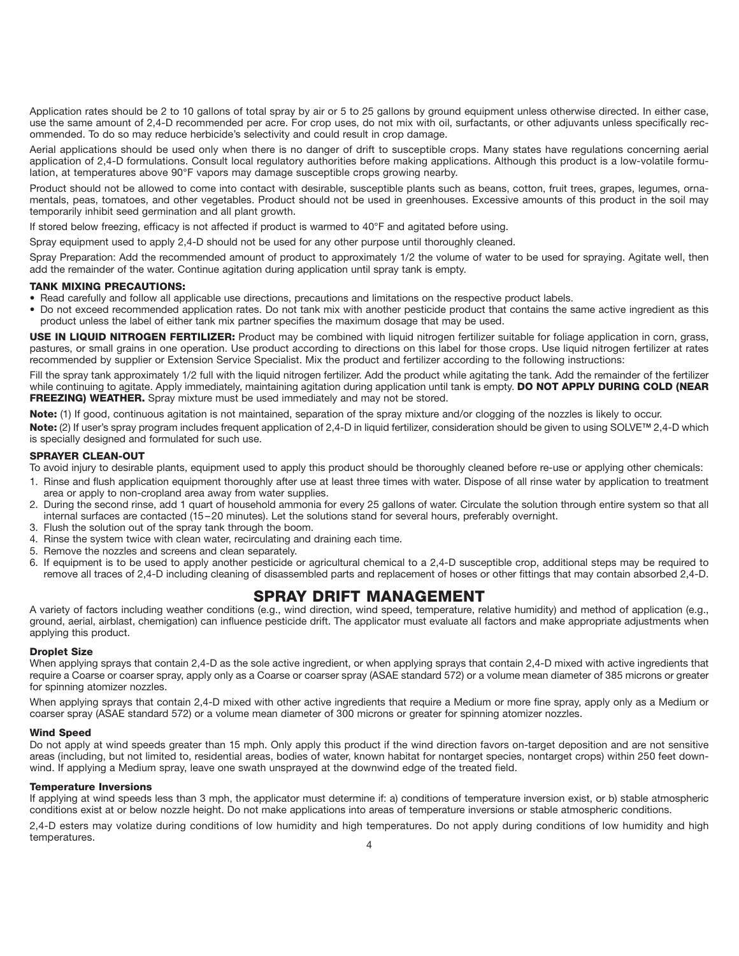Application rates should be 2 to 10 gallons of total spray by air or 5 to 25 gallons by ground equipment unless otherwise directed. In either case, use the same amount of 2,4-D recommended per acre. For crop uses, do not mix with oil, surfactants, or other adjuvants unless specifically recommended. To do so may reduce herbicide's selectivity and could result in crop damage.

Aerial applications should be used only when there is no danger of drift to susceptible crops. Many states have regulations concerning aerial application of 2,4-D formulations. Consult local regulatory authorities before making applications. Although this product is a low-volatile formulation, at temperatures above 90°F vapors may damage susceptible crops growing nearby.

Product should not be allowed to come into contact with desirable, susceptible plants such as beans, cotton, fruit trees, grapes, legumes, ornamentals, peas, tomatoes, and other vegetables. Product should not be used in greenhouses. Excessive amounts of this product in the soil may temporarily inhibit seed germination and all plant growth.

If stored below freezing, efficacy is not affected if product is warmed to 40°F and agitated before using.

Spray equipment used to apply 2,4-D should not be used for any other purpose until thoroughly cleaned.

Spray Preparation: Add the recommended amount of product to approximately 1/2 the volume of water to be used for spraying. Agitate well, then add the remainder of the water. Continue agitation during application until spray tank is empty.

#### TANK MIXING PRECAUTIONS:

• Read carefully and follow all applicable use directions, precautions and limitations on the respective product labels.

• Do not exceed recommended application rates. Do not tank mix with another pesticide product that contains the same active ingredient as this product unless the label of either tank mix partner specifies the maximum dosage that may be used.

USE IN LIQUID NITROGEN FERTILIZER: Product may be combined with liquid nitrogen fertilizer suitable for foliage application in corn, grass, pastures, or small grains in one operation. Use product according to directions on this label for those crops. Use liquid nitrogen fertilizer at rates recommended by supplier or Extension Service Specialist. Mix the product and fertilizer according to the following instructions:

Fill the spray tank approximately 1/2 full with the liquid nitrogen fertilizer. Add the product while agitating the tank. Add the remainder of the fertilizer while continuing to agitate. Apply immediately, maintaining agitation during application until tank is empty. DO NOT APPLY DURING COLD (NEAR FREEZING) WEATHER. Spray mixture must be used immediately and may not be stored.

Note: (1) If good, continuous agitation is not maintained, separation of the spray mixture and/or clogging of the nozzles is likely to occur.

Note: (2) If user's spray program includes frequent application of 2,4-D in liquid fertilizer, consideration should be given to using SOLVE™ 2,4-D which is specially designed and formulated for such use.

#### SPRAYER CLEAN-OUT

To avoid injury to desirable plants, equipment used to apply this product should be thoroughly cleaned before re-use or applying other chemicals:

- 1. Rinse and flush application equipment thoroughly after use at least three times with water. Dispose of all rinse water by application to treatment area or apply to non-cropland area away from water supplies.
- 2. During the second rinse, add 1 quart of household ammonia for every 25 gallons of water. Circulate the solution through entire system so that all internal surfaces are contacted (15 – 20 minutes). Let the solutions stand for several hours, preferably overnight.
- 3. Flush the solution out of the spray tank through the boom.
- 4. Rinse the system twice with clean water, recirculating and draining each time.
- 5. Remove the nozzles and screens and clean separately.
- 6. If equipment is to be used to apply another pesticide or agricultural chemical to a 2,4-D susceptible crop, additional steps may be required to remove all traces of 2,4-D including cleaning of disassembled parts and replacement of hoses or other fittings that may contain absorbed 2,4-D.

## SPRAY DRIFT MANAGEMENT

A variety of factors including weather conditions (e.g., wind direction, wind speed, temperature, relative humidity) and method of application (e.g., ground, aerial, airblast, chemigation) can influence pesticide drift. The applicator must evaluate all factors and make appropriate adjustments when applying this product.

#### Droplet Size

When applying sprays that contain 2,4-D as the sole active ingredient, or when applying sprays that contain 2,4-D mixed with active ingredients that require a Coarse or coarser spray, apply only as a Coarse or coarser spray (ASAE standard 572) or a volume mean diameter of 385 microns or greater for spinning atomizer nozzles.

When applying sprays that contain 2,4-D mixed with other active ingredients that require a Medium or more fine spray, apply only as a Medium or coarser spray (ASAE standard 572) or a volume mean diameter of 300 microns or greater for spinning atomizer nozzles.

#### Wind Speed

Do not apply at wind speeds greater than 15 mph. Only apply this product if the wind direction favors on-target deposition and are not sensitive areas (including, but not limited to, residential areas, bodies of water, known habitat for nontarget species, nontarget crops) within 250 feet downwind. If applying a Medium spray, leave one swath unsprayed at the downwind edge of the treated field.

#### Temperature Inversions

If applying at wind speeds less than 3 mph, the applicator must determine if: a) conditions of temperature inversion exist, or b) stable atmospheric conditions exist at or below nozzle height. Do not make applications into areas of temperature inversions or stable atmospheric conditions.

2,4-D esters may volatize during conditions of low humidity and high temperatures. Do not apply during conditions of low humidity and high temperatures. And the set of the set of the set of the set of the set of the set of the set of the set of the s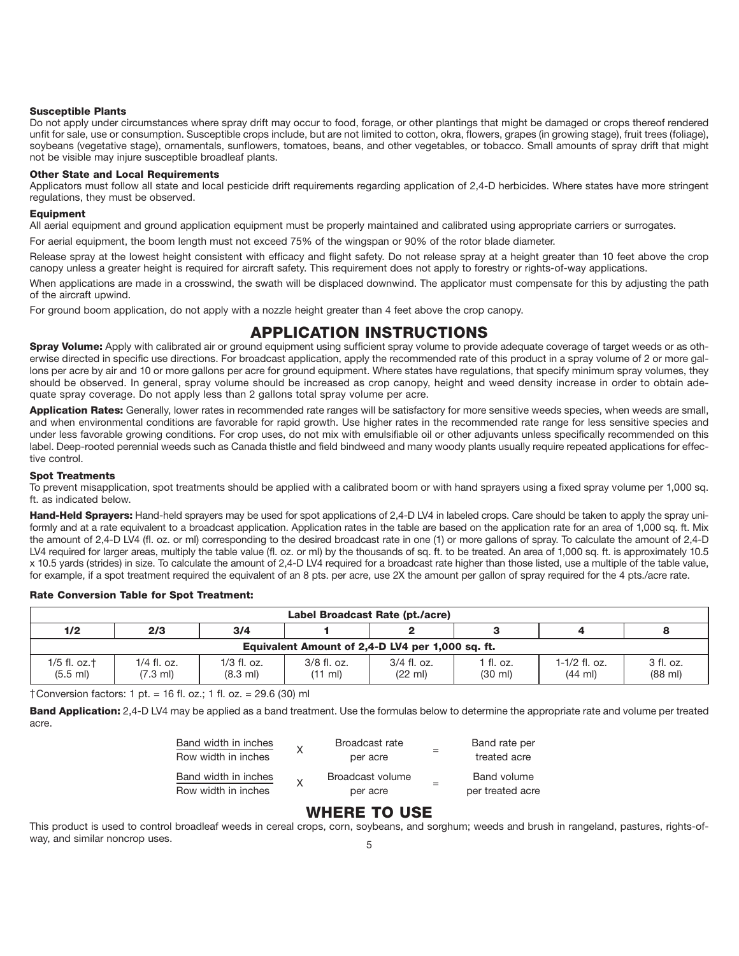#### Susceptible Plants

Do not apply under circumstances where spray drift may occur to food, forage, or other plantings that might be damaged or crops thereof rendered unfit for sale, use or consumption. Susceptible crops include, but are not limited to cotton, okra, flowers, grapes (in growing stage), fruit trees (foliage), soybeans (vegetative stage), ornamentals, sunflowers, tomatoes, beans, and other vegetables, or tobacco. Small amounts of spray drift that might not be visible may injure susceptible broadleaf plants.

#### Other State and Local Requirements

Applicators must follow all state and local pesticide drift requirements regarding application of 2,4-D herbicides. Where states have more stringent regulations, they must be observed.

#### Equipment

All aerial equipment and ground application equipment must be properly maintained and calibrated using appropriate carriers or surrogates.

For aerial equipment, the boom length must not exceed 75% of the wingspan or 90% of the rotor blade diameter.

Release spray at the lowest height consistent with efficacy and flight safety. Do not release spray at a height greater than 10 feet above the crop canopy unless a greater height is required for aircraft safety. This requirement does not apply to forestry or rights-of-way applications.

When applications are made in a crosswind, the swath will be displaced downwind. The applicator must compensate for this by adjusting the path of the aircraft upwind.

For ground boom application, do not apply with a nozzle height greater than 4 feet above the crop canopy.

## APPLICATION INSTRUCTIONS

Spray Volume: Apply with calibrated air or ground equipment using sufficient spray volume to provide adequate coverage of target weeds or as otherwise directed in specific use directions. For broadcast application, apply the recommended rate of this product in a spray volume of 2 or more gallons per acre by air and 10 or more gallons per acre for ground equipment. Where states have regulations, that specify minimum spray volumes, they should be observed. In general, spray volume should be increased as crop canopy, height and weed density increase in order to obtain adequate spray coverage. Do not apply less than 2 gallons total spray volume per acre.

Application Rates: Generally, lower rates in recommended rate ranges will be satisfactory for more sensitive weeds species, when weeds are small, and when environmental conditions are favorable for rapid growth. Use higher rates in the recommended rate range for less sensitive species and under less favorable growing conditions. For crop uses, do not mix with emulsifiable oil or other adjuvants unless specifically recommended on this label. Deep-rooted perennial weeds such as Canada thistle and field bindweed and many woody plants usually require repeated applications for effective control.

#### Spot Treatments

To prevent misapplication, spot treatments should be applied with a calibrated boom or with hand sprayers using a fixed spray volume per 1,000 sq. ft. as indicated below.

Hand-Held Sprayers: Hand-held sprayers may be used for spot applications of 2,4-D LV4 in labeled crops. Care should be taken to apply the spray uniformly and at a rate equivalent to a broadcast application. Application rates in the table are based on the application rate for an area of 1,000 sq. ft. Mix the amount of 2,4-D LV4 (fl. oz. or ml) corresponding to the desired broadcast rate in one (1) or more gallons of spray. To calculate the amount of 2,4-D LV4 required for larger areas, multiply the table value (fl. oz. or ml) by the thousands of sq. ft. to be treated. An area of 1,000 sq. ft. is approximately 10.5 x 10.5 yards (strides) in size. To calculate the amount of 2,4-D LV4 required for a broadcast rate higher than those listed, use a multiple of the table value, for example, if a spot treatment required the equivalent of an 8 pts. per acre, use 2X the amount per gallon of spray required for the 4 pts./acre rate.

#### Rate Conversion Table for Spot Treatment:

| Label Broadcast Rate (pt./acre)               |                                                  |                                     |                                    |                                    |                                |                                      |                                |
|-----------------------------------------------|--------------------------------------------------|-------------------------------------|------------------------------------|------------------------------------|--------------------------------|--------------------------------------|--------------------------------|
| 1/2<br>2/3<br>3/4                             |                                                  |                                     |                                    |                                    |                                |                                      |                                |
|                                               | Equivalent Amount of 2,4-D LV4 per 1,000 sq. ft. |                                     |                                    |                                    |                                |                                      |                                |
| $1/5$ fl. oz. $\dagger$<br>$(5.5 \text{ ml})$ | 1/4 fl. oz.<br>(7.3 ml)                          | $1/3$ fl. oz.<br>$(8.3 \text{ ml})$ | $3/8$ fl. oz.<br>$(11 \text{ ml})$ | $3/4$ fl. oz.<br>$(22 \text{ ml})$ | 1 fl. oz.<br>$(30 \text{ ml})$ | $1-1/2$ fl. oz.<br>$(44 \text{ ml})$ | 3 fl. oz.<br>$(88 \text{ ml})$ |

†Conversion factors: 1 pt. = 16 fl. oz.; 1 fl. oz. = 29.6 (30) ml

Band Application: 2,4-D LV4 may be applied as a band treatment. Use the formulas below to determine the appropriate rate and volume per treated acre.

| Band width in inches<br>Row width in inches | Broadcast rate<br>per acre   | Band rate per<br>treated acre   |
|---------------------------------------------|------------------------------|---------------------------------|
| Band width in inches<br>Row width in inches | Broadcast volume<br>per acre | Band volume<br>per treated acre |

## WHERE TO USE

This product is used to control broadleaf weeds in cereal crops, corn, soybeans, and sorghum; weeds and brush in rangeland, pastures, rights-ofway, and similar noncrop uses. 5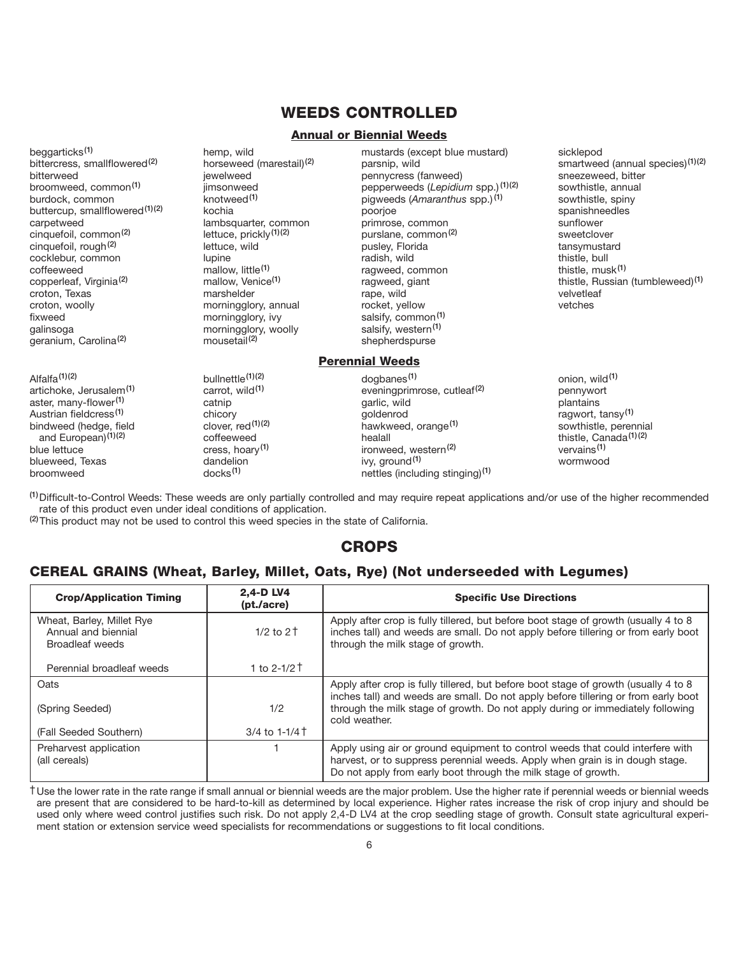## WEEDS CONTROLLED

#### Annual or Biennial Weeds

beggarticks(1) bittercress, smallflowered<sup>(2)</sup> bitterweed broomweed, common(1) burdock, common buttercup, smallflowered<sup>(1)(2)</sup> carpetweed cinquefoil, common(2) cinquefoil, rough(2) cocklebur, common coffeeweed copperleaf, Virginia(2) croton, Texas croton, woolly fixweed galinsoga geranium, Carolina(2)

Alfalfa $(1)(2)$ artichoke, Jerusalem<sup>(1)</sup> aster, many-flower(1) Austrian fieldcress(1) bindweed (hedge, field and European)<sup>(1)(2)</sup> blue lettuce blueweed, Texas broomweed

hemp, wild horseweed (marestail)(2) jewelweed jimsonweed knotweed(1) kochia lambsquarter, common lettuce, prickly(1)(2) lettuce, wild lupine mallow, little<sup>(1)</sup> mallow, Venice(1) marshelder morningglory, annual morningglory, ivy morningglory, woolly mousetail<sup>(2)</sup>

mustards (except blue mustard) parsnip, wild pennycress (fanweed) pepperweeds (*Lepidium* spp.) (1)(2) pigweeds (*Amaranthus* spp.) (1) poorjoe primrose, common purslane, common(2) pusley, Florida radish, wild ragweed, common ragweed, giant rape, wild rocket, yellow salsify, common<sup>(1)</sup> salsify, western<sup>(1)</sup> shepherdspurse

#### Perennial Weeds

sicklepod smartweed (annual species)<sup>(1)(2)</sup> sneezeweed, bitter sowthistle, annual sowthistle, spiny spanishneedles sunflower sweetclover tansymustard thistle, bull thistle, musk(1) thistle, Russian (tumbleweed)(1) velvetleaf vetches

dogbanes(1) eveningprimrose, cutleaf(2) garlic, wild goldenrod hawkweed, orange(1) healall ironweed, western<sup>(2)</sup> ivy, ground<sup>(1)</sup> nettles (including stinging)(1) onion, wild<sup>(1)</sup> pennywort plantains ragwort, tansy(1) sowthistle, perennial thistle, Canada(1)(2) vervains(1) wormwood

(1)Difficult-to-Control Weeds: These weeds are only partially controlled and may require repeat applications and/or use of the higher recommended rate of this product even under ideal conditions of application.

<sup>(2)</sup>This product may not be used to control this weed species in the state of California.

bullnettle(1)(2) carrot, wild<sup>(1)</sup> catnip chicory clover, red(1)(2) coffeeweed cress, hoary(1) dandelion docks(1)

## CROPS

## CEREAL GRAINS (Wheat, Barley, Millet, Oats, Rye) (Not underseeded with Legumes)

| <b>Crop/Application Timing</b>                                      | 2.4-D LV4<br>(pt./acre) | <b>Specific Use Directions</b>                                                                                                                                                                                                                              |
|---------------------------------------------------------------------|-------------------------|-------------------------------------------------------------------------------------------------------------------------------------------------------------------------------------------------------------------------------------------------------------|
| Wheat, Barley, Millet Rye<br>Annual and biennial<br>Broadleaf weeds | $1/2$ to $2+$           | Apply after crop is fully tillered, but before boot stage of growth (usually 4 to 8<br>inches tall) and weeds are small. Do not apply before tillering or from early boot<br>through the milk stage of growth.                                              |
| Perennial broadleaf weeds                                           | 1 to 2-1/2 $\dagger$    |                                                                                                                                                                                                                                                             |
| Oats<br>(Spring Seeded)                                             | 1/2                     | Apply after crop is fully tillered, but before boot stage of growth (usually 4 to 8<br>inches tall) and weeds are small. Do not apply before tillering or from early boot<br>through the milk stage of growth. Do not apply during or immediately following |
| (Fall Seeded Southern)                                              | 3/4 to 1-1/4 T          | cold weather.                                                                                                                                                                                                                                               |
| Preharvest application<br>(all cereals)                             |                         | Apply using air or ground equipment to control weeds that could interfere with<br>harvest, or to suppress perennial weeds. Apply when grain is in dough stage.<br>Do not apply from early boot through the milk stage of growth.                            |

†Use the lower rate in the rate range if small annual or biennial weeds are the major problem. Use the higher rate if perennial weeds or biennial weeds are present that are considered to be hard-to-kill as determined by local experience. Higher rates increase the risk of crop injury and should be used only where weed control justifies such risk. Do not apply 2,4-D LV4 at the crop seedling stage of growth. Consult state agricultural experiment station or extension service weed specialists for recommendations or suggestions to fit local conditions.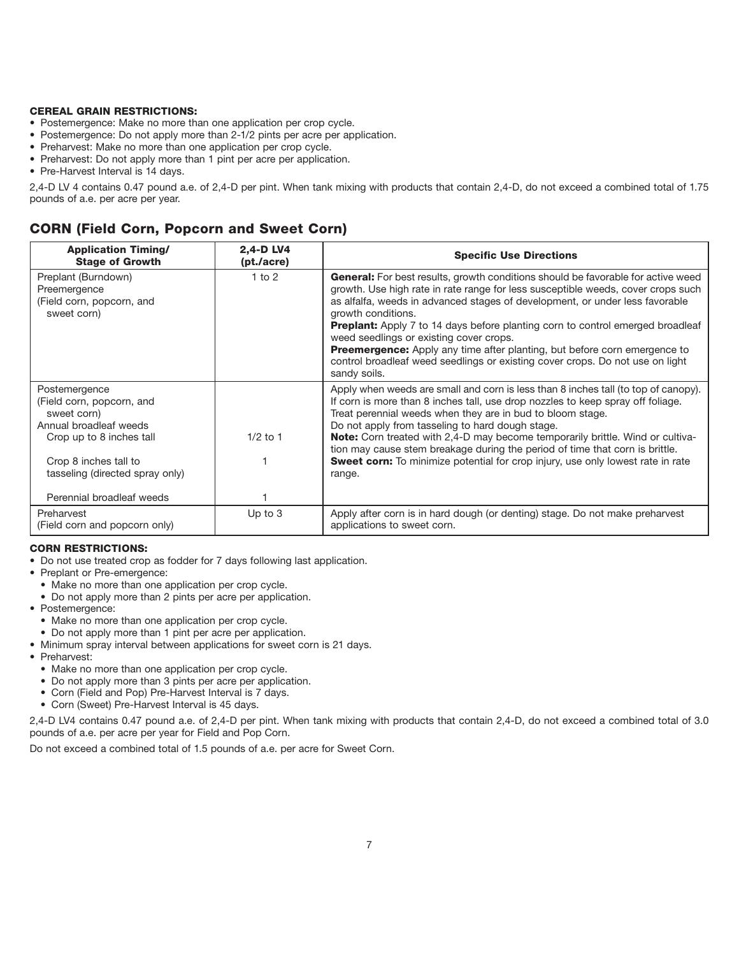#### CEREAL GRAIN RESTRICTIONS:

- Postemergence: Make no more than one application per crop cycle.
- Postemergence: Do not apply more than 2-1/2 pints per acre per application.
- Preharvest: Make no more than one application per crop cycle.
- Preharvest: Do not apply more than 1 pint per acre per application.
- Pre-Harvest Interval is 14 days.

2,4-D LV 4 contains 0.47 pound a.e. of 2,4-D per pint. When tank mixing with products that contain 2,4-D, do not exceed a combined total of 1.75 pounds of a.e. per acre per year.

## CORN (Field Corn, Popcorn and Sweet Corn)

| <b>Application Timing/</b><br><b>Stage of Growth</b>                                                                                                                                                     | 2.4-D LV4<br>(pt./acre) | <b>Specific Use Directions</b>                                                                                                                                                                                                                                                                                                                                                                                                                                                                                                                                                               |
|----------------------------------------------------------------------------------------------------------------------------------------------------------------------------------------------------------|-------------------------|----------------------------------------------------------------------------------------------------------------------------------------------------------------------------------------------------------------------------------------------------------------------------------------------------------------------------------------------------------------------------------------------------------------------------------------------------------------------------------------------------------------------------------------------------------------------------------------------|
| Preplant (Burndown)<br>Preemergence<br>(Field corn, popcorn, and<br>sweet corn)                                                                                                                          | $1$ to $2$              | General: For best results, growth conditions should be favorable for active weed<br>growth. Use high rate in rate range for less susceptible weeds, cover crops such<br>as alfalfa, weeds in advanced stages of development, or under less favorable<br>growth conditions.<br>Preplant: Apply 7 to 14 days before planting corn to control emerged broadleaf<br>weed seedlings or existing cover crops.<br><b>Preemergence:</b> Apply any time after planting, but before corn emergence to<br>control broadleaf weed seedlings or existing cover crops. Do not use on light<br>sandy soils. |
| Postemergence<br>(Field corn, popcorn, and<br>sweet corn)<br>Annual broadleaf weeds<br>Crop up to 8 inches tall<br>Crop 8 inches tall to<br>tasseling (directed spray only)<br>Perennial broadleaf weeds | $1/2$ to 1              | Apply when weeds are small and corn is less than 8 inches tall (to top of canopy).<br>If corn is more than 8 inches tall, use drop nozzles to keep spray off foliage.<br>Treat perennial weeds when they are in bud to bloom stage.<br>Do not apply from tasseling to hard dough stage.<br><b>Note:</b> Corn treated with 2,4-D may become temporarily brittle. Wind or cultiva-<br>tion may cause stem breakage during the period of time that corn is brittle.<br><b>Sweet corn:</b> To minimize potential for crop injury, use only lowest rate in rate<br>range.                         |
| Preharvest<br>(Field corn and popcorn only)                                                                                                                                                              | Up to $3$               | Apply after corn is in hard dough (or denting) stage. Do not make preharvest<br>applications to sweet corn.                                                                                                                                                                                                                                                                                                                                                                                                                                                                                  |

#### CORN RESTRICTIONS:

- Do not use treated crop as fodder for 7 days following last application.
- Preplant or Pre-emergence:
	- Make no more than one application per crop cycle.
	- Do not apply more than 2 pints per acre per application.
- Postemergence:
	- Make no more than one application per crop cycle.
	- Do not apply more than 1 pint per acre per application.
- Minimum spray interval between applications for sweet corn is 21 days.
- Preharvest:
	- Make no more than one application per crop cycle.
	- Do not apply more than 3 pints per acre per application.
	- Corn (Field and Pop) Pre-Harvest Interval is 7 days.
	- Corn (Sweet) Pre-Harvest Interval is 45 days.

2,4-D LV4 contains 0.47 pound a.e. of 2,4-D per pint. When tank mixing with products that contain 2,4-D, do not exceed a combined total of 3.0 pounds of a.e. per acre per year for Field and Pop Corn.

Do not exceed a combined total of 1.5 pounds of a.e. per acre for Sweet Corn.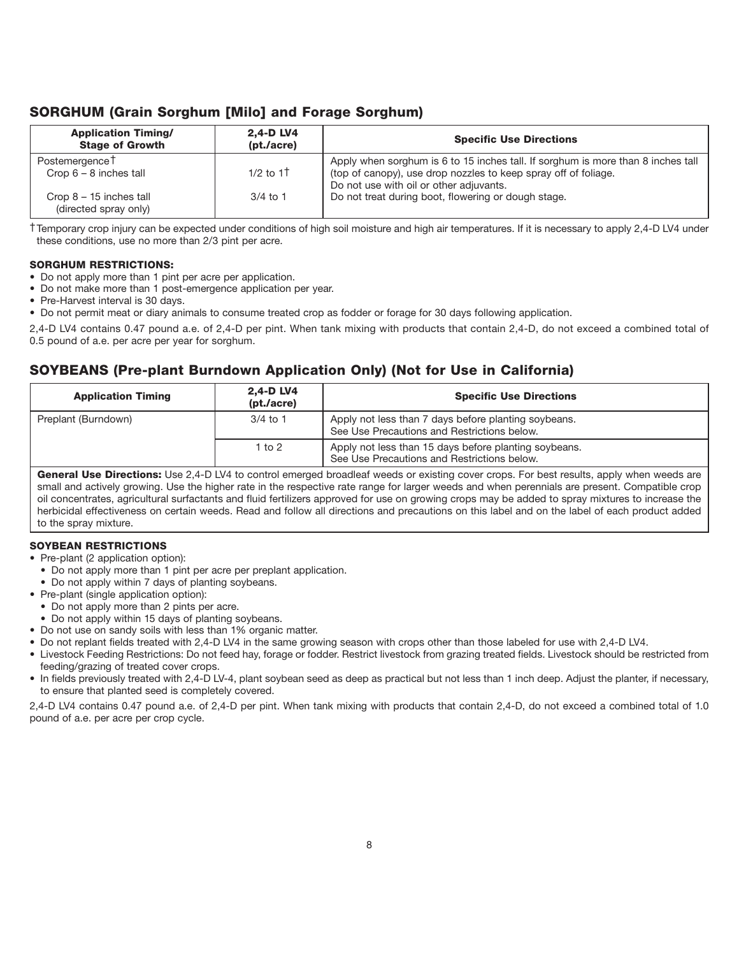## SORGHUM (Grain Sorghum [Milo] and Forage Sorghum)

| <b>Application Timing/</b><br><b>Stage of Growth</b>   | 2,4-D LV4<br>(pt./acre) | <b>Specific Use Directions</b>                                                                                                                                                                 |
|--------------------------------------------------------|-------------------------|------------------------------------------------------------------------------------------------------------------------------------------------------------------------------------------------|
| Postemergence <sup>†</sup><br>Crop $6 - 8$ inches tall | $1/2$ to $1+$           | Apply when sorghum is 6 to 15 inches tall. If sorghum is more than 8 inches tall<br>(top of canopy), use drop nozzles to keep spray off of foliage.<br>Do not use with oil or other adjuvants. |
| Crop $8 - 15$ inches tall<br>(directed spray only)     | $3/4$ to 1              | Do not treat during boot, flowering or dough stage.                                                                                                                                            |

†Temporary crop injury can be expected under conditions of high soil moisture and high air temperatures. If it is necessary to apply 2,4-D LV4 under these conditions, use no more than 2/3 pint per acre.

#### SORGHUM RESTRICTIONS:

- Do not apply more than 1 pint per acre per application.
- Do not make more than 1 post-emergence application per year.
- Pre-Harvest interval is 30 days.
- Do not permit meat or diary animals to consume treated crop as fodder or forage for 30 days following application.

2,4-D LV4 contains 0.47 pound a.e. of 2,4-D per pint. When tank mixing with products that contain 2,4-D, do not exceed a combined total of 0.5 pound of a.e. per acre per year for sorghum.

## SOYBEANS (Pre-plant Burndown Application Only) (Not for Use in California)

| <b>Application Timing</b> | 2,4-D LV4<br>(pt./acre) | <b>Specific Use Directions</b>                                                                       |
|---------------------------|-------------------------|------------------------------------------------------------------------------------------------------|
| Preplant (Burndown)       | $3/4$ to 1              | Apply not less than 7 days before planting soybeans.<br>See Use Precautions and Restrictions below.  |
|                           | 1 to 2                  | Apply not less than 15 days before planting soybeans.<br>See Use Precautions and Restrictions below. |

General Use Directions: Use 2,4-D LV4 to control emerged broadleaf weeds or existing cover crops. For best results, apply when weeds are small and actively growing. Use the higher rate in the respective rate range for larger weeds and when perennials are present. Compatible crop oil concentrates, agricultural surfactants and fluid fertilizers approved for use on growing crops may be added to spray mixtures to increase the herbicidal effectiveness on certain weeds. Read and follow all directions and precautions on this label and on the label of each product added to the spray mixture.

#### SOYBEAN RESTRICTIONS

- Pre-plant (2 application option):
- Do not apply more than 1 pint per acre per preplant application.
- Do not apply within 7 days of planting soybeans.
- Pre-plant (single application option):
- Do not apply more than 2 pints per acre.
- Do not apply within 15 days of planting soybeans.
- Do not use on sandy soils with less than 1% organic matter.
- Do not replant fields treated with 2,4-D LV4 in the same growing season with crops other than those labeled for use with 2,4-D LV4.
- Livestock Feeding Restrictions: Do not feed hay, forage or fodder. Restrict livestock from grazing treated fields. Livestock should be restricted from feeding/grazing of treated cover crops.
- In fields previously treated with 2,4-D LV-4, plant soybean seed as deep as practical but not less than 1 inch deep. Adjust the planter, if necessary, to ensure that planted seed is completely covered.

2,4-D LV4 contains 0.47 pound a.e. of 2,4-D per pint. When tank mixing with products that contain 2,4-D, do not exceed a combined total of 1.0 pound of a.e. per acre per crop cycle.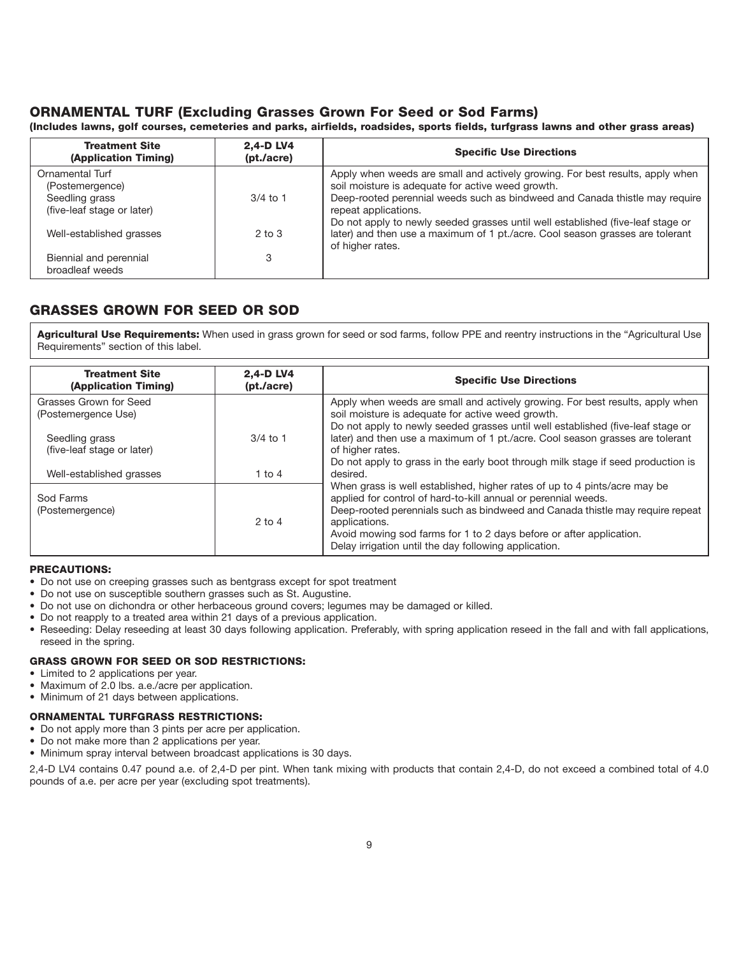## ORNAMENTAL TURF (Excluding Grasses Grown For Seed or Sod Farms)

(Includes lawns, golf courses, cemeteries and parks, airfields, roadsides, sports fields, turfgrass lawns and other grass areas)

| <b>Treatment Site</b><br>(Application Timing) | 2.4-D LV4<br>(pt./acre) | <b>Specific Use Directions</b>                                                                                                     |
|-----------------------------------------------|-------------------------|------------------------------------------------------------------------------------------------------------------------------------|
| Ornamental Turf                               |                         | Apply when weeds are small and actively growing. For best results, apply when<br>soil moisture is adequate for active weed growth. |
| (Postemergence)                               | $3/4$ to 1              | Deep-rooted perennial weeds such as bindweed and Canada thistle may require                                                        |
| Seedling grass                                |                         |                                                                                                                                    |
| (five-leaf stage or later)                    |                         | repeat applications.<br>Do not apply to newly seeded grasses until well established (five-leaf stage or                            |
| Well-established grasses                      | $2$ to $3$              | later) and then use a maximum of 1 pt./acre. Cool season grasses are tolerant                                                      |
|                                               |                         | of higher rates.                                                                                                                   |
| Biennial and perennial                        | 3                       |                                                                                                                                    |
| broadleaf weeds                               |                         |                                                                                                                                    |

## GRASSES GROWN FOR SEED OR SOD

Agricultural Use Requirements: When used in grass grown for seed or sod farms, follow PPE and reentry instructions in the "Agricultural Use Requirements" section of this label.

| <b>Treatment Site</b><br>(Application Timing) | 2.4-D LV4<br>(pt./acre) | <b>Specific Use Directions</b>                                                                                                                                                                                                                                                                                                                                                |
|-----------------------------------------------|-------------------------|-------------------------------------------------------------------------------------------------------------------------------------------------------------------------------------------------------------------------------------------------------------------------------------------------------------------------------------------------------------------------------|
| Grasses Grown for Seed<br>(Postemergence Use) |                         | Apply when weeds are small and actively growing. For best results, apply when<br>soil moisture is adequate for active weed growth.<br>Do not apply to newly seeded grasses until well established (five-leaf stage or                                                                                                                                                         |
| Seedling grass<br>(five-leaf stage or later)  | $3/4$ to 1              | later) and then use a maximum of 1 pt./acre. Cool season grasses are tolerant<br>of higher rates.                                                                                                                                                                                                                                                                             |
| Well-established grasses                      | 1 to $4$                | Do not apply to grass in the early boot through milk stage if seed production is<br>desired.                                                                                                                                                                                                                                                                                  |
| Sod Farms<br>(Postemergence)                  | $2$ to 4                | When grass is well established, higher rates of up to 4 pints/acre may be<br>applied for control of hard-to-kill annual or perennial weeds.<br>Deep-rooted perennials such as bindweed and Canada thistle may require repeat<br>applications.<br>Avoid mowing sod farms for 1 to 2 days before or after application.<br>Delay irrigation until the day following application. |

#### PRECAUTIONS:

- Do not use on creeping grasses such as bentgrass except for spot treatment
- Do not use on susceptible southern grasses such as St. Augustine.
- Do not use on dichondra or other herbaceous ground covers; legumes may be damaged or killed.
- Do not reapply to a treated area within 21 days of a previous application.
- Reseeding: Delay reseeding at least 30 days following application. Preferably, with spring application reseed in the fall and with fall applications, reseed in the spring.

#### GRASS GROWN FOR SEED OR SOD RESTRICTIONS:

- Limited to 2 applications per year.
- Maximum of 2.0 lbs. a.e./acre per application.
- Minimum of 21 days between applications.

#### ORNAMENTAL TURFGRASS RESTRICTIONS:

- Do not apply more than 3 pints per acre per application.
- Do not make more than 2 applications per year.
- Minimum spray interval between broadcast applications is 30 days.

2,4-D LV4 contains 0.47 pound a.e. of 2,4-D per pint. When tank mixing with products that contain 2,4-D, do not exceed a combined total of 4.0 pounds of a.e. per acre per year (excluding spot treatments).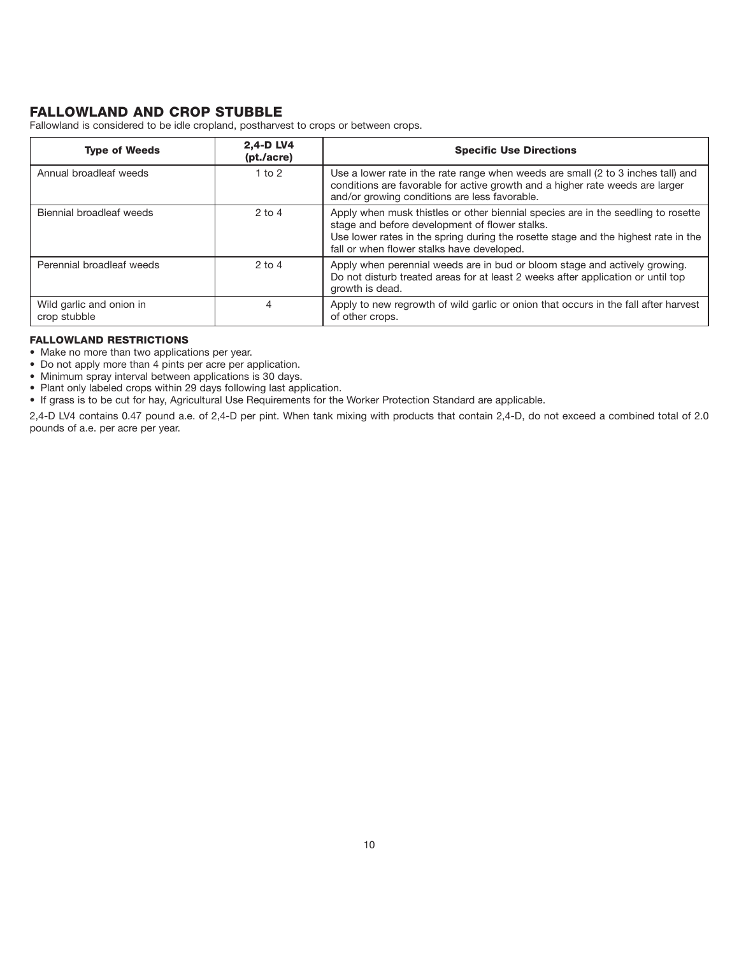## FALLOWLAND AND CROP STUBBLE

Fallowland is considered to be idle cropland, postharvest to crops or between crops.

| <b>Type of Weeds</b>                     | 2.4-D LV4<br>(pt./acre) | <b>Specific Use Directions</b>                                                                                                                                                                                                                                          |
|------------------------------------------|-------------------------|-------------------------------------------------------------------------------------------------------------------------------------------------------------------------------------------------------------------------------------------------------------------------|
| Annual broadleaf weeds                   | 1 to $2$                | Use a lower rate in the rate range when weeds are small (2 to 3 inches tall) and<br>conditions are favorable for active growth and a higher rate weeds are larger<br>and/or growing conditions are less favorable.                                                      |
| Biennial broadleaf weeds                 | $2$ to $4$              | Apply when musk thistles or other biennial species are in the seedling to rosette<br>stage and before development of flower stalks.<br>Use lower rates in the spring during the rosette stage and the highest rate in the<br>fall or when flower stalks have developed. |
| Perennial broadleaf weeds                | $2$ to $4$              | Apply when perennial weeds are in bud or bloom stage and actively growing.<br>Do not disturb treated areas for at least 2 weeks after application or until top<br>growth is dead.                                                                                       |
| Wild garlic and onion in<br>crop stubble | 4                       | Apply to new regrowth of wild garlic or onion that occurs in the fall after harvest<br>of other crops.                                                                                                                                                                  |

#### FALLOWLAND RESTRICTIONS

- Make no more than two applications per year.
- Do not apply more than 4 pints per acre per application.
- Minimum spray interval between applications is 30 days.
- Plant only labeled crops within 29 days following last application.
- If grass is to be cut for hay, Agricultural Use Requirements for the Worker Protection Standard are applicable.

2,4-D LV4 contains 0.47 pound a.e. of 2,4-D per pint. When tank mixing with products that contain 2,4-D, do not exceed a combined total of 2.0 pounds of a.e. per acre per year.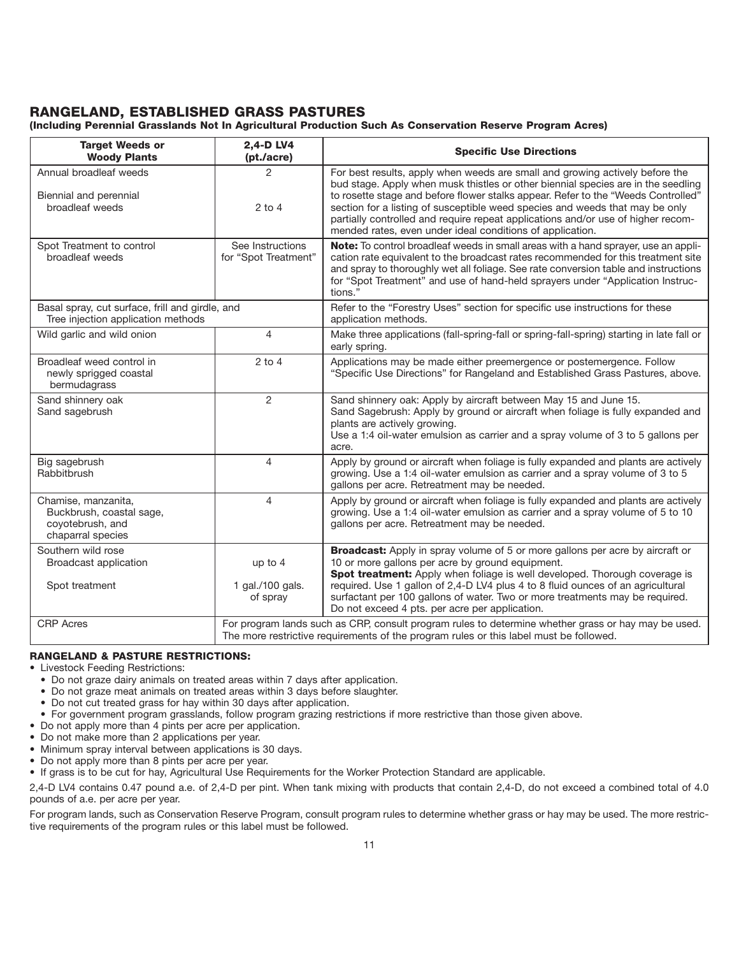## RANGELAND, ESTABLISHED GRASS PASTURES

(Including Perennial Grasslands Not In Agricultural Production Such As Conservation Reserve Program Acres)

| <b>Target Weeds or</b><br><b>Woody Plants</b>                                            | 2,4-D LV4<br>(pt./acre)                  | <b>Specific Use Directions</b>                                                                                                                                                                                                                                                                                                                                                                                                                                                          |
|------------------------------------------------------------------------------------------|------------------------------------------|-----------------------------------------------------------------------------------------------------------------------------------------------------------------------------------------------------------------------------------------------------------------------------------------------------------------------------------------------------------------------------------------------------------------------------------------------------------------------------------------|
| Annual broadleaf weeds<br>Biennial and perennial<br>broadleaf weeds                      | 2<br>$2$ to 4                            | For best results, apply when weeds are small and growing actively before the<br>bud stage. Apply when musk thistles or other biennial species are in the seedling<br>to rosette stage and before flower stalks appear. Refer to the "Weeds Controlled"<br>section for a listing of susceptible weed species and weeds that may be only<br>partially controlled and require repeat applications and/or use of higher recom-<br>mended rates, even under ideal conditions of application. |
| Spot Treatment to control<br>broadleaf weeds                                             | See Instructions<br>for "Spot Treatment" | Note: To control broadleaf weeds in small areas with a hand sprayer, use an appli-<br>cation rate equivalent to the broadcast rates recommended for this treatment site<br>and spray to thoroughly wet all foliage. See rate conversion table and instructions<br>for "Spot Treatment" and use of hand-held sprayers under "Application Instruc-<br>tions."                                                                                                                             |
| Basal spray, cut surface, frill and girdle, and<br>Tree injection application methods    |                                          | Refer to the "Forestry Uses" section for specific use instructions for these<br>application methods.                                                                                                                                                                                                                                                                                                                                                                                    |
| Wild garlic and wild onion                                                               | 4                                        | Make three applications (fall-spring-fall or spring-fall-spring) starting in late fall or<br>early spring.                                                                                                                                                                                                                                                                                                                                                                              |
| Broadleaf weed control in<br>newly sprigged coastal<br>bermudagrass                      | $2$ to $4$                               | Applications may be made either preemergence or postemergence. Follow<br>"Specific Use Directions" for Rangeland and Established Grass Pastures, above.                                                                                                                                                                                                                                                                                                                                 |
| Sand shinnery oak<br>Sand sagebrush                                                      | $\overline{2}$                           | Sand shinnery oak: Apply by aircraft between May 15 and June 15.<br>Sand Sagebrush: Apply by ground or aircraft when foliage is fully expanded and<br>plants are actively growing.<br>Use a 1:4 oil-water emulsion as carrier and a spray volume of 3 to 5 gallons per<br>acre.                                                                                                                                                                                                         |
| Big sagebrush<br>Rabbitbrush                                                             | $\overline{4}$                           | Apply by ground or aircraft when foliage is fully expanded and plants are actively<br>growing. Use a 1:4 oil-water emulsion as carrier and a spray volume of 3 to 5<br>gallons per acre. Retreatment may be needed.                                                                                                                                                                                                                                                                     |
| Chamise, manzanita,<br>Buckbrush, coastal sage,<br>coyotebrush, and<br>chaparral species | $\overline{4}$                           | Apply by ground or aircraft when foliage is fully expanded and plants are actively<br>growing. Use a 1:4 oil-water emulsion as carrier and a spray volume of 5 to 10<br>gallons per acre. Retreatment may be needed.                                                                                                                                                                                                                                                                    |
| Southern wild rose<br>Broadcast application                                              | up to 4                                  | <b>Broadcast:</b> Apply in spray volume of 5 or more gallons per acre by aircraft or<br>10 or more gallons per acre by ground equipment.<br>Spot treatment: Apply when foliage is well developed. Thorough coverage is                                                                                                                                                                                                                                                                  |
| Spot treatment                                                                           | 1 gal./100 gals.<br>of spray             | required. Use 1 gallon of 2,4-D LV4 plus 4 to 8 fluid ounces of an agricultural<br>surfactant per 100 gallons of water. Two or more treatments may be required.<br>Do not exceed 4 pts. per acre per application.                                                                                                                                                                                                                                                                       |
| <b>CRP</b> Acres                                                                         |                                          | For program lands such as CRP, consult program rules to determine whether grass or hay may be used.<br>The more restrictive requirements of the program rules or this label must be followed.                                                                                                                                                                                                                                                                                           |

#### RANGELAND & PASTURE RESTRICTIONS:

• Livestock Feeding Restrictions:

- Do not graze dairy animals on treated areas within 7 days after application.
- Do not graze meat animals on treated areas within 3 days before slaughter.
- Do not cut treated grass for hay within 30 days after application.
- For government program grasslands, follow program grazing restrictions if more restrictive than those given above.
- Do not apply more than 4 pints per acre per application.
- Do not make more than 2 applications per year.
- Minimum spray interval between applications is 30 days.
- Do not apply more than 8 pints per acre per year.

• If grass is to be cut for hay, Agricultural Use Requirements for the Worker Protection Standard are applicable.

2,4-D LV4 contains 0.47 pound a.e. of 2,4-D per pint. When tank mixing with products that contain 2,4-D, do not exceed a combined total of 4.0 pounds of a.e. per acre per year.

For program lands, such as Conservation Reserve Program, consult program rules to determine whether grass or hay may be used. The more restrictive requirements of the program rules or this label must be followed.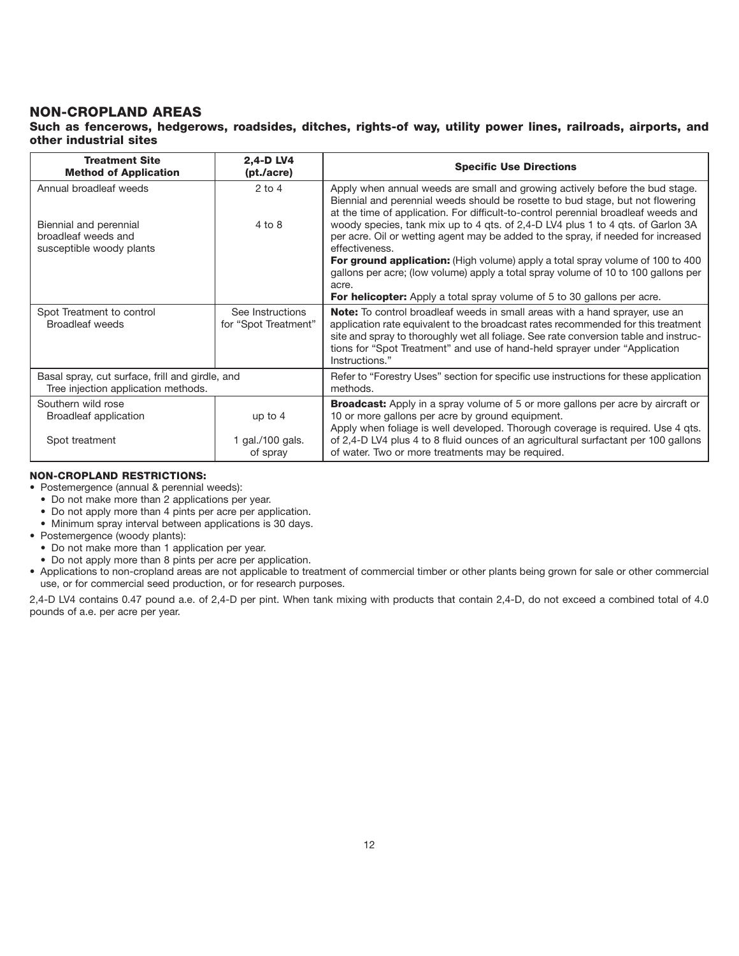## NON-CROPLAND AREAS

### Such as fencerows, hedgerows, roadsides, ditches, rights-of way, utility power lines, railroads, airports, and other industrial sites

| <b>Treatment Site</b><br><b>Method of Application</b>                                  | 2,4-D LV4<br>(pt./acre)                  | <b>Specific Use Directions</b>                                                                                                                                                                                                                                                                                                                                  |
|----------------------------------------------------------------------------------------|------------------------------------------|-----------------------------------------------------------------------------------------------------------------------------------------------------------------------------------------------------------------------------------------------------------------------------------------------------------------------------------------------------------------|
| Annual broadleaf weeds                                                                 | $2$ to 4                                 | Apply when annual weeds are small and growing actively before the bud stage.<br>Biennial and perennial weeds should be rosette to bud stage, but not flowering<br>at the time of application. For difficult-to-control perennial broadleaf weeds and                                                                                                            |
| Biennial and perennial                                                                 | $4$ to $8$                               | woody species, tank mix up to 4 qts. of 2,4-D LV4 plus 1 to 4 qts. of Garlon 3A                                                                                                                                                                                                                                                                                 |
| broadleaf weeds and<br>susceptible woody plants                                        |                                          | per acre. Oil or wetting agent may be added to the spray, if needed for increased<br>effectiveness.                                                                                                                                                                                                                                                             |
|                                                                                        |                                          | For ground application: (High volume) apply a total spray volume of 100 to 400<br>gallons per acre; (low volume) apply a total spray volume of 10 to 100 gallons per<br>acre.                                                                                                                                                                                   |
|                                                                                        |                                          | <b>For helicopter:</b> Apply a total spray volume of 5 to 30 gallons per acre.                                                                                                                                                                                                                                                                                  |
| Spot Treatment to control<br><b>Broadleaf weeds</b>                                    | See Instructions<br>for "Spot Treatment" | <b>Note:</b> To control broadleaf weeds in small areas with a hand sprayer, use an<br>application rate equivalent to the broadcast rates recommended for this treatment<br>site and spray to thoroughly wet all foliage. See rate conversion table and instruc-<br>tions for "Spot Treatment" and use of hand-held sprayer under "Application<br>Instructions." |
| Basal spray, cut surface, frill and girdle, and<br>Tree injection application methods. |                                          | Refer to "Forestry Uses" section for specific use instructions for these application<br>methods.                                                                                                                                                                                                                                                                |
| Southern wild rose<br><b>Broadleaf application</b>                                     | up to $4$                                | <b>Broadcast:</b> Apply in a spray volume of 5 or more gallons per acre by aircraft or<br>10 or more gallons per acre by ground equipment.<br>Apply when foliage is well developed. Thorough coverage is required. Use 4 qts.                                                                                                                                   |
| Spot treatment                                                                         | 1 gal./100 gals.<br>of spray             | of 2,4-D LV4 plus 4 to 8 fluid ounces of an agricultural surfactant per 100 gallons<br>of water. Two or more treatments may be required.                                                                                                                                                                                                                        |

#### NON-CROPLAND RESTRICTIONS:

- Postemergence (annual & perennial weeds):
	- Do not make more than 2 applications per year.
	- Do not apply more than 4 pints per acre per application.
- Minimum spray interval between applications is 30 days.
- Postemergence (woody plants):
	- Do not make more than 1 application per year.
- Do not apply more than 8 pints per acre per application.
- Applications to non-cropland areas are not applicable to treatment of commercial timber or other plants being grown for sale or other commercial use, or for commercial seed production, or for research purposes.

2,4-D LV4 contains 0.47 pound a.e. of 2,4-D per pint. When tank mixing with products that contain 2,4-D, do not exceed a combined total of 4.0 pounds of a.e. per acre per year.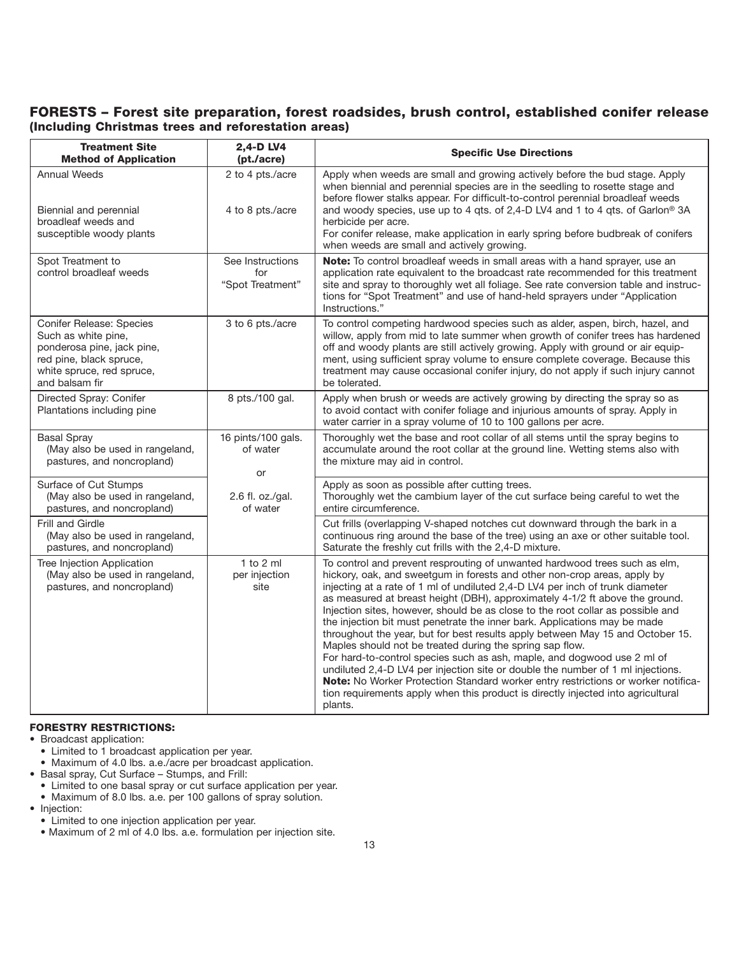## FORESTS – Forest site preparation, forest roadsides, brush control, established conifer release (Including Christmas trees and reforestation areas)

| <b>Treatment Site</b><br><b>Method of Application</b>                                                                                                   | 2,4-D LV4<br>(pt./acre)                     | <b>Specific Use Directions</b>                                                                                                                                                                                                                                                                                                                                                                                                                                                                                                                                                                                                                                                                                                                                                                                                                                                                                                                                                          |
|---------------------------------------------------------------------------------------------------------------------------------------------------------|---------------------------------------------|-----------------------------------------------------------------------------------------------------------------------------------------------------------------------------------------------------------------------------------------------------------------------------------------------------------------------------------------------------------------------------------------------------------------------------------------------------------------------------------------------------------------------------------------------------------------------------------------------------------------------------------------------------------------------------------------------------------------------------------------------------------------------------------------------------------------------------------------------------------------------------------------------------------------------------------------------------------------------------------------|
| <b>Annual Weeds</b><br>Biennial and perennial<br>broadleaf weeds and<br>susceptible woody plants                                                        | 2 to 4 pts./acre<br>4 to 8 pts./acre        | Apply when weeds are small and growing actively before the bud stage. Apply<br>when biennial and perennial species are in the seedling to rosette stage and<br>before flower stalks appear. For difficult-to-control perennial broadleaf weeds<br>and woody species, use up to 4 gts. of 2,4-D LV4 and 1 to 4 gts. of Garlon <sup>®</sup> 3A<br>herbicide per acre.<br>For conifer release, make application in early spring before budbreak of conifers<br>when weeds are small and actively growing.                                                                                                                                                                                                                                                                                                                                                                                                                                                                                  |
| Spot Treatment to<br>control broadleaf weeds                                                                                                            | See Instructions<br>for<br>"Spot Treatment" | Note: To control broadleaf weeds in small areas with a hand sprayer, use an<br>application rate equivalent to the broadcast rate recommended for this treatment<br>site and spray to thoroughly wet all foliage. See rate conversion table and instruc-<br>tions for "Spot Treatment" and use of hand-held sprayers under "Application<br>Instructions."                                                                                                                                                                                                                                                                                                                                                                                                                                                                                                                                                                                                                                |
| Conifer Release: Species<br>Such as white pine,<br>ponderosa pine, jack pine,<br>red pine, black spruce,<br>white spruce, red spruce,<br>and balsam fir | 3 to 6 pts./acre                            | To control competing hardwood species such as alder, aspen, birch, hazel, and<br>willow, apply from mid to late summer when growth of conifer trees has hardened<br>off and woody plants are still actively growing. Apply with ground or air equip-<br>ment, using sufficient spray volume to ensure complete coverage. Because this<br>treatment may cause occasional conifer injury, do not apply if such injury cannot<br>be tolerated.                                                                                                                                                                                                                                                                                                                                                                                                                                                                                                                                             |
| Directed Spray: Conifer<br>Plantations including pine                                                                                                   | 8 pts./100 gal.                             | Apply when brush or weeds are actively growing by directing the spray so as<br>to avoid contact with conifer foliage and injurious amounts of spray. Apply in<br>water carrier in a spray volume of 10 to 100 gallons per acre.                                                                                                                                                                                                                                                                                                                                                                                                                                                                                                                                                                                                                                                                                                                                                         |
| <b>Basal Spray</b><br>(May also be used in rangeland,<br>pastures, and noncropland)                                                                     | 16 pints/100 gals.<br>of water<br>or        | Thoroughly wet the base and root collar of all stems until the spray begins to<br>accumulate around the root collar at the ground line. Wetting stems also with<br>the mixture may aid in control.                                                                                                                                                                                                                                                                                                                                                                                                                                                                                                                                                                                                                                                                                                                                                                                      |
| Surface of Cut Stumps<br>(May also be used in rangeland,<br>pastures, and noncropland)                                                                  | 2.6 fl. oz./gal.<br>of water                | Apply as soon as possible after cutting trees.<br>Thoroughly wet the cambium layer of the cut surface being careful to wet the<br>entire circumference.                                                                                                                                                                                                                                                                                                                                                                                                                                                                                                                                                                                                                                                                                                                                                                                                                                 |
| Frill and Girdle<br>(May also be used in rangeland,<br>pastures, and noncropland)                                                                       |                                             | Cut frills (overlapping V-shaped notches cut downward through the bark in a<br>continuous ring around the base of the tree) using an axe or other suitable tool.<br>Saturate the freshly cut frills with the 2,4-D mixture.                                                                                                                                                                                                                                                                                                                                                                                                                                                                                                                                                                                                                                                                                                                                                             |
| Tree Injection Application<br>(May also be used in rangeland,<br>pastures, and noncropland)                                                             | $1$ to $2$ ml<br>per injection<br>site      | To control and prevent resprouting of unwanted hardwood trees such as elm,<br>hickory, oak, and sweetgum in forests and other non-crop areas, apply by<br>injecting at a rate of 1 ml of undiluted 2,4-D LV4 per inch of trunk diameter<br>as measured at breast height (DBH), approximately 4-1/2 ft above the ground.<br>Injection sites, however, should be as close to the root collar as possible and<br>the injection bit must penetrate the inner bark. Applications may be made<br>throughout the year, but for best results apply between May 15 and October 15.<br>Maples should not be treated during the spring sap flow.<br>For hard-to-control species such as ash, maple, and dogwood use 2 ml of<br>undiluted 2,4-D LV4 per injection site or double the number of 1 ml injections.<br>Note: No Worker Protection Standard worker entry restrictions or worker notifica-<br>tion requirements apply when this product is directly injected into agricultural<br>plants. |

#### FORESTRY RESTRICTIONS:

- Broadcast application:
	- Limited to 1 broadcast application per year.
	- Maximum of 4.0 lbs. a.e./acre per broadcast application.
- Basal spray, Cut Surface Stumps, and Frill:
- Limited to one basal spray or cut surface application per year.
- Maximum of 8.0 lbs. a.e. per 100 gallons of spray solution.
- Injection:
	- Limited to one injection application per year.
- Maximum of 2 ml of 4.0 lbs. a.e. formulation per injection site.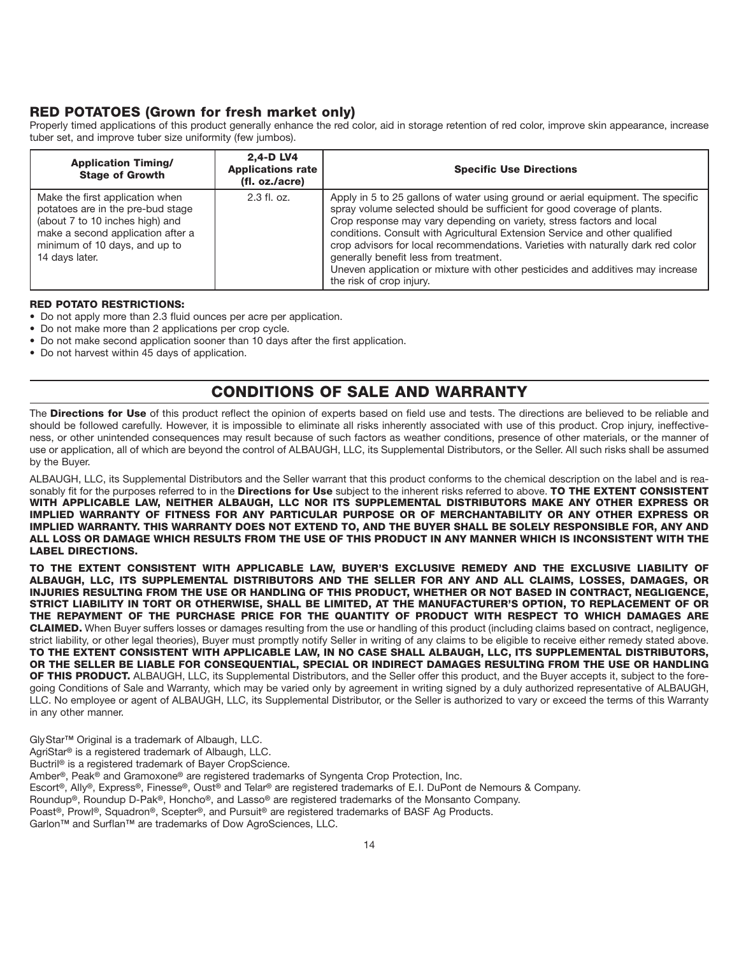## RED POTATOES (Grown for fresh market only)

Properly timed applications of this product generally enhance the red color, aid in storage retention of red color, improve skin appearance, increase tuber set, and improve tuber size uniformity (few jumbos).

| <b>Application Timing/</b><br><b>Stage of Growth</b>                                                                                                                                            | 2.4-D LV4<br><b>Applications rate</b><br>(fl. oz./acre) | <b>Specific Use Directions</b>                                                                                                                                                                                                                                                                                                                                                                                                                                                                                                                                  |
|-------------------------------------------------------------------------------------------------------------------------------------------------------------------------------------------------|---------------------------------------------------------|-----------------------------------------------------------------------------------------------------------------------------------------------------------------------------------------------------------------------------------------------------------------------------------------------------------------------------------------------------------------------------------------------------------------------------------------------------------------------------------------------------------------------------------------------------------------|
| Make the first application when<br>potatoes are in the pre-bud stage<br>(about 7 to 10 inches high) and<br>make a second application after a<br>minimum of 10 days, and up to<br>14 days later. | $2.3$ fl. oz.                                           | Apply in 5 to 25 gallons of water using ground or aerial equipment. The specific<br>spray volume selected should be sufficient for good coverage of plants.<br>Crop response may vary depending on variety, stress factors and local<br>conditions. Consult with Agricultural Extension Service and other qualified<br>crop advisors for local recommendations. Varieties with naturally dark red color<br>generally benefit less from treatment.<br>Uneven application or mixture with other pesticides and additives may increase<br>the risk of crop injury. |

#### RED POTATO RESTRICTIONS:

- Do not apply more than 2.3 fluid ounces per acre per application.
- Do not make more than 2 applications per crop cycle.
- Do not make second application sooner than 10 days after the first application.
- Do not harvest within 45 days of application.

## CONDITIONS OF SALE AND WARRANTY

The Directions for Use of this product reflect the opinion of experts based on field use and tests. The directions are believed to be reliable and should be followed carefully. However, it is impossible to eliminate all risks inherently associated with use of this product. Crop injury, ineffectiveness, or other unintended consequences may result because of such factors as weather conditions, presence of other materials, or the manner of use or application, all of which are beyond the control of ALBAUGH, LLC, its Supplemental Distributors, or the Seller. All such risks shall be assumed by the Buyer.

ALBAUGH, LLC, its Supplemental Distributors and the Seller warrant that this product conforms to the chemical description on the label and is reasonably fit for the purposes referred to in the Directions for Use subject to the inherent risks referred to above. TO THE EXTENT CONSISTENT WITH APPLICABLE LAW, NEITHER ALBAUGH, LLC NOR ITS SUPPLEMENTAL DISTRIBUTORS MAKE ANY OTHER EXPRESS OR IMPLIED WARRANTY OF FITNESS FOR ANY PARTICULAR PURPOSE OR OF MERCHANTABILITY OR ANY OTHER EXPRESS OR IMPLIED WARRANTY. THIS WARRANTY DOES NOT EXTEND TO, AND THE BUYER SHALL BE SOLELY RESPONSIBLE FOR, ANY AND ALL LOSS OR DAMAGE WHICH RESULTS FROM THE USE OF THIS PRODUCT IN ANY MANNER WHICH IS INCONSISTENT WITH THE LABEL DIRECTIONS.

TO THE EXTENT CONSISTENT WITH APPLICABLE LAW, BUYER'S EXCLUSIVE REMEDY AND THE EXCLUSIVE LIABILITY OF ALBAUGH, LLC, ITS SUPPLEMENTAL DISTRIBUTORS AND THE SELLER FOR ANY AND ALL CLAIMS, LOSSES, DAMAGES, OR INJURIES RESULTING FROM THE USE OR HANDLING OF THIS PRODUCT, WHETHER OR NOT BASED IN CONTRACT, NEGLIGENCE, STRICT LIABILITY IN TORT OR OTHERWISE, SHALL BE LIMITED, AT THE MANUFACTURER'S OPTION, TO REPLACEMENT OF OR THE REPAYMENT OF THE PURCHASE PRICE FOR THE QUANTITY OF PRODUCT WITH RESPECT TO WHICH DAMAGES ARE CLAIMED. When Buyer suffers losses or damages resulting from the use or handling of this product (including claims based on contract, negligence, strict liability, or other legal theories), Buyer must promptly notify Seller in writing of any claims to be eligible to receive either remedy stated above. TO THE EXTENT CONSISTENT WITH APPLICABLE LAW, IN NO CASE SHALL ALBAUGH, LLC, ITS SUPPLEMENTAL DISTRIBUTORS, OR THE SELLER BE LIABLE FOR CONSEQUENTIAL, SPECIAL OR INDIRECT DAMAGES RESULTING FROM THE USE OR HANDLING OF THIS PRODUCT. ALBAUGH, LLC, its Supplemental Distributors, and the Seller offer this product, and the Buyer accepts it, subject to the foregoing Conditions of Sale and Warranty, which may be varied only by agreement in writing signed by a duly authorized representative of ALBAUGH, LLC. No employee or agent of ALBAUGH, LLC, its Supplemental Distributor, or the Seller is authorized to vary or exceed the terms of this Warranty in any other manner.

GlyStar™ Original is a trademark of Albaugh, LLC.

AgriStar® is a registered trademark of Albaugh, LLC.

Buctril® is a registered trademark of Bayer CropScience.

Amber®, Peak® and Gramoxone® are registered trademarks of Syngenta Crop Protection, Inc.

- Escort®, Ally®, Express®, Finesse®, Oust® and Telar® are registered trademarks of E.I. DuPont de Nemours & Company.
- Roundup®, Roundup D-Pak®, Honcho®, and Lasso® are registered trademarks of the Monsanto Company.
- Poast®, Prowl®, Squadron®, Scepter®, and Pursuit® are registered trademarks of BASF Ag Products.

Garlon™ and Surflan™ are trademarks of Dow AgroSciences, LLC.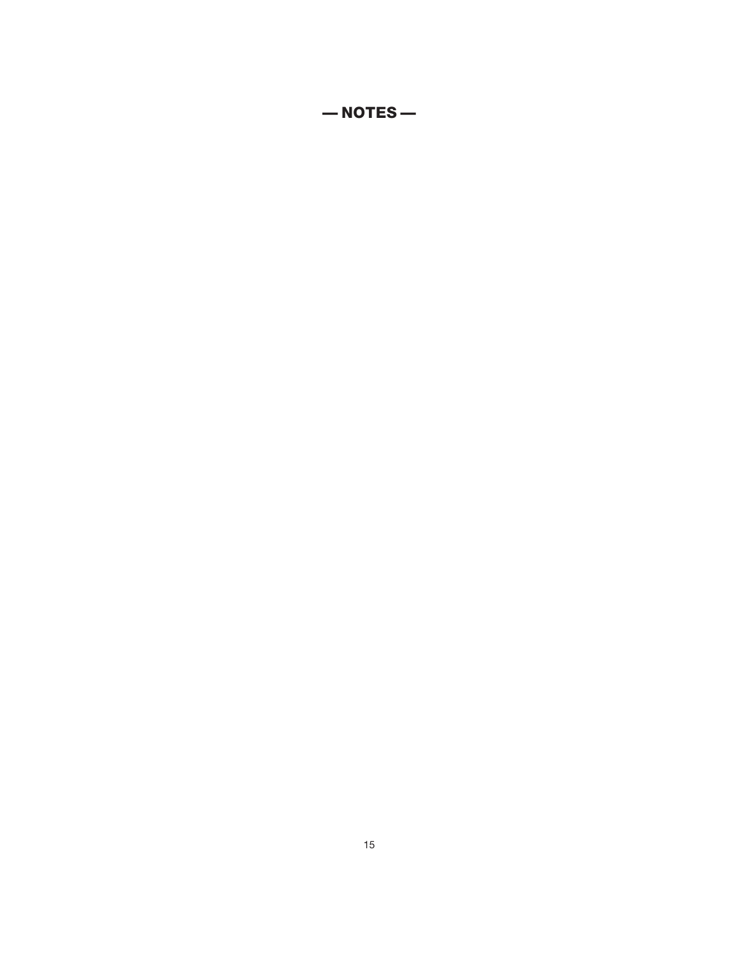— NOTES —